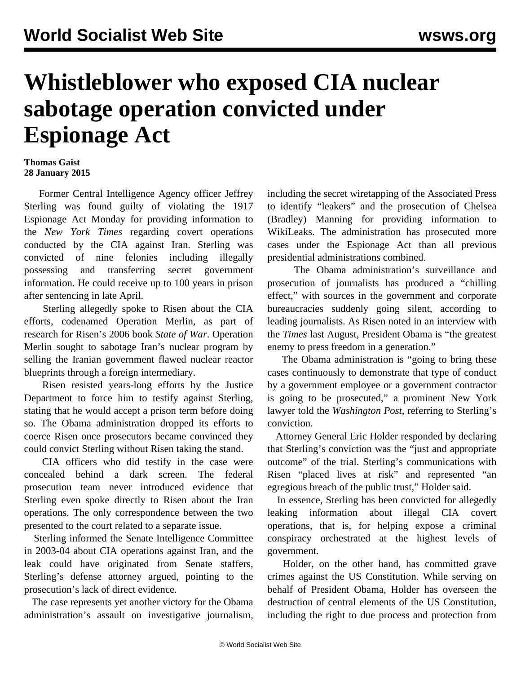## **Whistleblower who exposed CIA nuclear sabotage operation convicted under Espionage Act**

## **Thomas Gaist 28 January 2015**

 Former Central Intelligence Agency officer Jeffrey Sterling was found guilty of violating the 1917 Espionage Act Monday for providing information to the *New York Times* regarding covert operations conducted by the CIA against Iran. Sterling was convicted of nine felonies including illegally possessing and transferring secret government information. He could receive up to 100 years in prison after sentencing in late April.

 Sterling allegedly spoke to Risen about the CIA efforts, codenamed Operation Merlin, as part of research for Risen's 2006 book *State of War*. Operation Merlin sought to sabotage Iran's nuclear program by selling the Iranian government flawed nuclear reactor blueprints through a foreign intermediary.

 Risen resisted years-long efforts by the Justice Department to force him to testify against Sterling, stating that he would accept a prison term before doing so. The Obama administration dropped its efforts to coerce Risen once prosecutors became convinced they could convict Sterling without Risen taking the stand.

 CIA officers who did testify in the case were concealed behind a dark screen. The federal prosecution team never introduced evidence that Sterling even spoke directly to Risen about the Iran operations. The only correspondence between the two presented to the court related to a separate issue.

 Sterling informed the Senate Intelligence Committee in 2003-04 about CIA operations against Iran, and the leak could have originated from Senate staffers, Sterling's defense attorney argued, pointing to the prosecution's lack of direct evidence.

 The case represents yet another victory for the Obama administration's assault on investigative journalism,

including the secret wiretapping of the Associated Press to identify "leakers" and the prosecution of Chelsea (Bradley) Manning for providing information to WikiLeaks. The administration has prosecuted more cases under the Espionage Act than all previous presidential administrations combined.

 The Obama administration's surveillance and prosecution of journalists has produced a "chilling effect," with sources in the government and corporate bureaucracies suddenly going silent, according to leading journalists. As Risen noted in an interview with the *Times* last August, President Obama is "the greatest enemy to press freedom in a generation."

 The Obama administration is "going to bring these cases continuously to demonstrate that type of conduct by a government employee or a government contractor is going to be prosecuted," a prominent New York lawyer told the *Washington Post*, referring to Sterling's conviction.

 Attorney General Eric Holder responded by declaring that Sterling's conviction was the "just and appropriate outcome" of the trial. Sterling's communications with Risen "placed lives at risk" and represented "an egregious breach of the public trust," Holder said.

 In essence, Sterling has been convicted for allegedly leaking information about illegal CIA covert operations, that is, for helping expose a criminal conspiracy orchestrated at the highest levels of government.

 Holder, on the other hand, has committed grave crimes against the US Constitution. While serving on behalf of President Obama, Holder has overseen the destruction of central elements of the US Constitution, including the right to due process and protection from